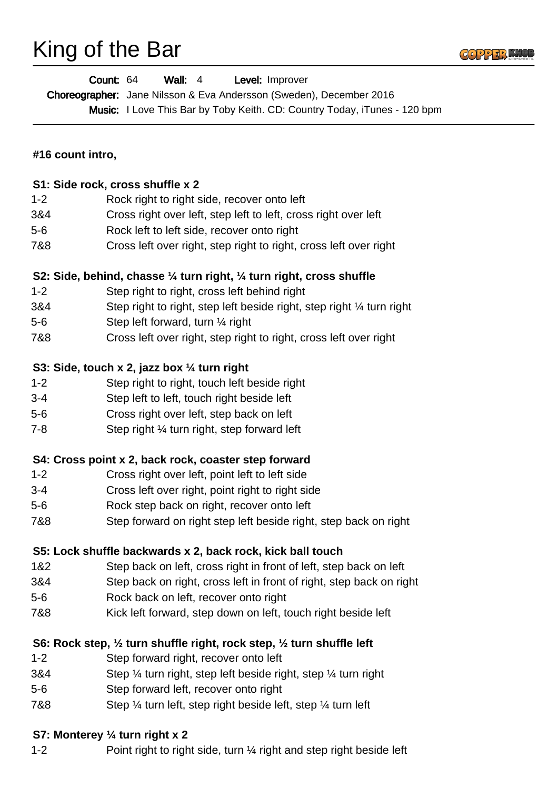## King of the Bar



|                                                      | Count: 64<br>Wall: $4$<br>Level: Improver<br>Choreographer: Jane Nilsson & Eva Andersson (Sweden), December 2016<br>Music: I Love This Bar by Toby Keith. CD: Country Today, iTunes - 120 bpm |
|------------------------------------------------------|-----------------------------------------------------------------------------------------------------------------------------------------------------------------------------------------------|
| #16 count intro,<br>S1: Side rock, cross shuffle x 2 |                                                                                                                                                                                               |
|                                                      |                                                                                                                                                                                               |
| 3&4                                                  | Cross right over left, step left to left, cross right over left                                                                                                                               |
| $5-6$                                                | Rock left to left side, recover onto right                                                                                                                                                    |
| 7&8                                                  | Cross left over right, step right to right, cross left over right                                                                                                                             |
|                                                      | S2: Side, behind, chasse 1/4 turn right, 1/4 turn right, cross shuffle                                                                                                                        |
| $1 - 2$                                              | Step right to right, cross left behind right                                                                                                                                                  |
| 3&4                                                  | Step right to right, step left beside right, step right 1/4 turn right                                                                                                                        |
| $5-6$                                                | Step left forward, turn 1/4 right                                                                                                                                                             |
| 7&8                                                  | Cross left over right, step right to right, cross left over right                                                                                                                             |
|                                                      | S3: Side, touch x 2, jazz box 1/4 turn right                                                                                                                                                  |
| $1 - 2$                                              | Step right to right, touch left beside right                                                                                                                                                  |
| $3 - 4$                                              | Step left to left, touch right beside left                                                                                                                                                    |
| $5-6$                                                | Cross right over left, step back on left                                                                                                                                                      |
| $7 - 8$                                              | Step right 1/4 turn right, step forward left                                                                                                                                                  |
|                                                      | S4: Cross point x 2, back rock, coaster step forward                                                                                                                                          |
| $1 - 2$                                              | Cross right over left, point left to left side                                                                                                                                                |
| $3 - 4$                                              | Cross left over right, point right to right side                                                                                                                                              |
| $5-6$                                                | Rock step back on right, recover onto left                                                                                                                                                    |
| 7&8                                                  | Step forward on right step left beside right, step back on right                                                                                                                              |
|                                                      | S5: Lock shuffle backwards x 2, back rock, kick ball touch                                                                                                                                    |
| 1&2                                                  | Step back on left, cross right in front of left, step back on left                                                                                                                            |
| 3&4                                                  | Step back on right, cross left in front of right, step back on right                                                                                                                          |
| $5-6$                                                | Rock back on left, recover onto right                                                                                                                                                         |
| 7&8                                                  | Kick left forward, step down on left, touch right beside left                                                                                                                                 |
|                                                      | S6: Rock step, 1/2 turn shuffle right, rock step, 1/2 turn shuffle left                                                                                                                       |
| $1 - 2$                                              | Step forward right, recover onto left                                                                                                                                                         |
| 3&4                                                  | Step 1/4 turn right, step left beside right, step 1/4 turn right                                                                                                                              |
| $5-6$                                                | Step forward left, recover onto right                                                                                                                                                         |
| 7&8                                                  | Step 1/4 turn left, step right beside left, step 1/4 turn left                                                                                                                                |

## **S7: Monterey ¼ turn right x 2**

1-2 Point right to right side, turn 1/4 right and step right beside left